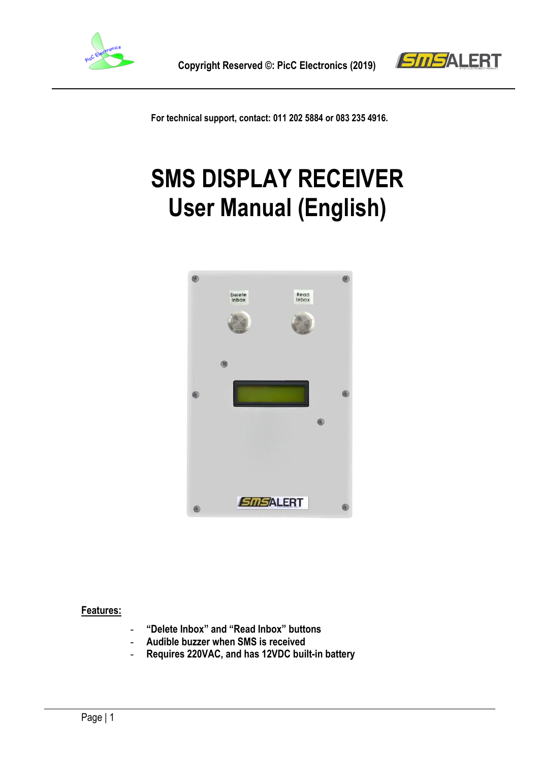



 **For technical support, contact: 011 202 5884 or 083 235 4916.**

# **SMS DISPLAY RECEIVER User Manual (English)**



#### **Features:**

- **"Delete Inbox" and "Read Inbox" buttons**
- **Audible buzzer when SMS is received**
- **Requires 220VAC, and has 12VDC built-in battery**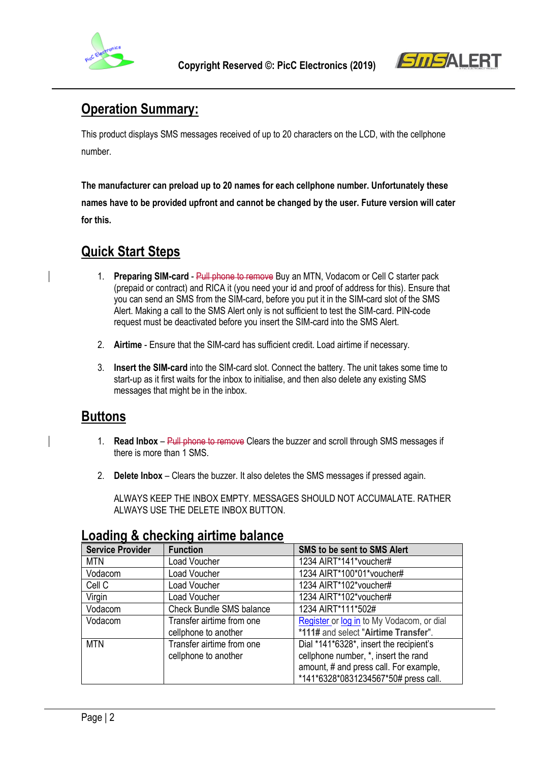



# **Operation Summary:**

This product displays SMS messages received of up to 20 characters on the LCD, with the cellphone number.

**The manufacturer can preload up to 20 names for each cellphone number. Unfortunately these names have to be provided upfront and cannot be changed by the user. Future version will cater for this.**

# **Quick Start Steps**

- 1. **Preparing SIM-card** Pull phone to remove Buy an MTN, Vodacom or Cell C starter pack (prepaid or contract) and RICA it (you need your id and proof of address for this). Ensure that you can send an SMS from the SIM-card, before you put it in the SIM-card slot of the SMS Alert. Making a call to the SMS Alert only is not sufficient to test the SIM-card. PIN-code request must be deactivated before you insert the SIM-card into the SMS Alert.
- 2. **Airtime** Ensure that the SIM-card has sufficient credit. Load airtime if necessary.
- 3. **Insert the SIM-card** into the SIM-card slot. Connect the battery. The unit takes some time to start-up as it first waits for the inbox to initialise, and then also delete any existing SMS messages that might be in the inbox.

## **Buttons**

- 1. **Read Inbox** Pull phone to remove Clears the buzzer and scroll through SMS messages if there is more than 1 SMS.
- 2. **Delete Inbox** Clears the buzzer. It also deletes the SMS messages if pressed again.

ALWAYS KEEP THE INBOX EMPTY. MESSAGES SHOULD NOT ACCUMALATE. RATHER ALWAYS USE THE DELETE INBOX BUTTON.

| <b>Service Provider</b> | <b>Function</b>                 | <b>SMS to be sent to SMS Alert</b>        |
|-------------------------|---------------------------------|-------------------------------------------|
| <b>MTN</b>              | Load Voucher                    | 1234 AIRT*141*voucher#                    |
| Vodacom                 | Load Voucher                    | 1234 AIRT*100*01*voucher#                 |
| Cell C                  | Load Voucher                    | 1234 AIRT*102*voucher#                    |
| Virgin                  | Load Voucher                    | 1234 AIRT*102*voucher#                    |
| Vodacom                 | <b>Check Bundle SMS balance</b> | 1234 AIRT*111*502#                        |
| Vodacom                 | Transfer airtime from one       | Register or log in to My Vodacom, or dial |
|                         | cellphone to another            | *111# and select "Airtime Transfer".      |
| <b>MTN</b>              | Transfer airtime from one       | Dial *141*6328*, insert the recipient's   |
|                         | cellphone to another            | cellphone number, *, insert the rand      |
|                         |                                 | amount, # and press call. For example,    |
|                         |                                 | *141*6328*0831234567*50# press call.      |

## **Loading & checking airtime balance**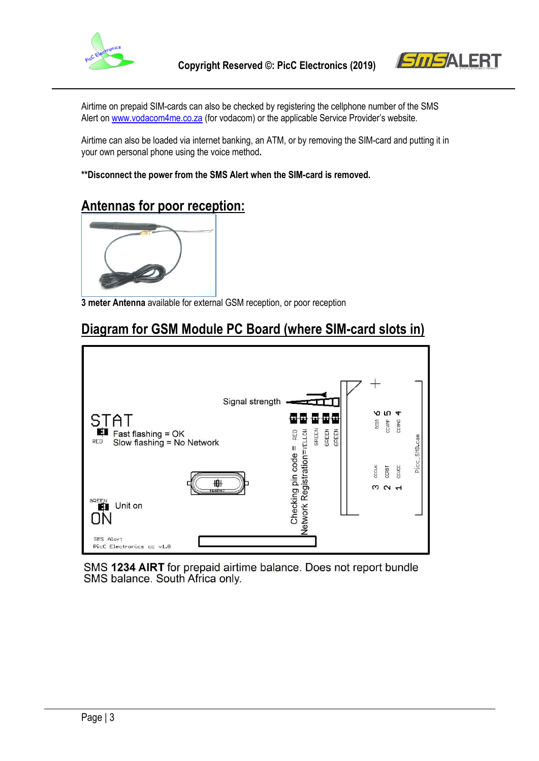



Airtime on prepaid SIM-cards can also be checked by registering the cellphone number of the SMS Alert o[n www.vodacom4me.co.za](http://www.vodacom4me.co.za/) (for vodacom) or the applicable Service Provider's website.

Airtime can also be loaded via internet banking, an ATM, or by removing the SIM-card and putting it in your own personal phone using the voice method**.** 

**\*\*Disconnect the power from the SMS Alert when the SIM-card is removed.**

## **Antennas for poor reception:**



**3 meter Antenna** available for external GSM reception, or poor reception

## **Diagram for GSM Module PC Board (where SIM-card slots in)**



SMS 1234 AIRT for prepaid airtime balance. Does not report bundle SMS balance. South Africa only.